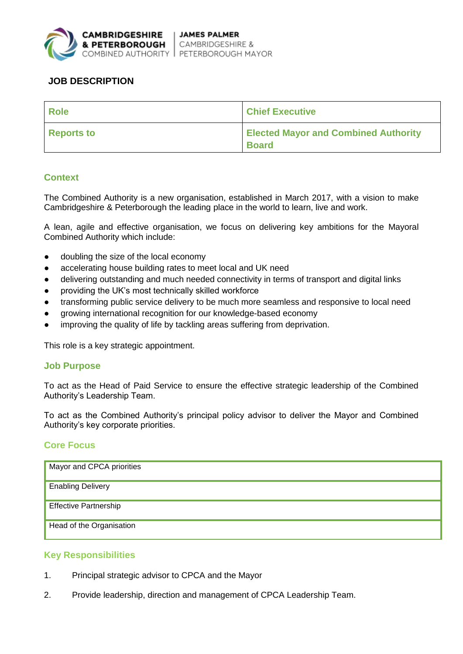

# **JOB DESCRIPTION**

| <b>Role</b>       | <b>Chief Executive</b>                                      |
|-------------------|-------------------------------------------------------------|
| <b>Reports to</b> | <b>Elected Mayor and Combined Authority</b><br><b>Board</b> |

## **Context**

The Combined Authority is a new organisation, established in March 2017, with a vision to make Cambridgeshire & Peterborough the leading place in the world to learn, live and work.

A lean, agile and effective organisation, we focus on delivering key ambitions for the Mayoral Combined Authority which include:

- doubling the size of the local economy
- accelerating house building rates to meet local and UK need
- delivering outstanding and much needed connectivity in terms of transport and digital links
- providing the UK's most technically skilled workforce
- transforming public service delivery to be much more seamless and responsive to local need
- growing international recognition for our knowledge-based economy
- improving the quality of life by tackling areas suffering from deprivation.

This role is a key strategic appointment.

### **Job Purpose**

To act as the Head of Paid Service to ensure the effective strategic leadership of the Combined Authority's Leadership Team.

To act as the Combined Authority's principal policy advisor to deliver the Mayor and Combined Authority's key corporate priorities.

### **Core Focus**

| Mayor and CPCA priorities    |
|------------------------------|
| <b>Enabling Delivery</b>     |
| <b>Effective Partnership</b> |
| Head of the Organisation     |

### **Key Responsibilities**

- 1. Principal strategic advisor to CPCA and the Mayor
- 2. Provide leadership, direction and management of CPCA Leadership Team.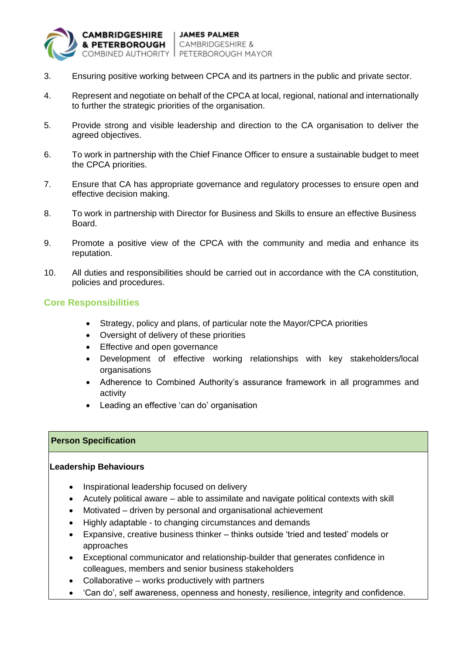

- 3. Ensuring positive working between CPCA and its partners in the public and private sector.
- 4. Represent and negotiate on behalf of the CPCA at local, regional, national and internationally to further the strategic priorities of the organisation.
- 5. Provide strong and visible leadership and direction to the CA organisation to deliver the agreed objectives.
- 6. To work in partnership with the Chief Finance Officer to ensure a sustainable budget to meet the CPCA priorities.
- 7. Ensure that CA has appropriate governance and regulatory processes to ensure open and effective decision making.
- 8. To work in partnership with Director for Business and Skills to ensure an effective Business Board.
- 9. Promote a positive view of the CPCA with the community and media and enhance its reputation.
- 10. All duties and responsibilities should be carried out in accordance with the CA constitution, policies and procedures.

### **Core Responsibilities**

- Strategy, policy and plans, of particular note the Mayor/CPCA priorities
- Oversight of delivery of these priorities
- Effective and open governance
- Development of effective working relationships with key stakeholders/local **organisations**
- Adherence to Combined Authority's assurance framework in all programmes and activity
- Leading an effective 'can do' organisation

### **Person Specification**

#### **Leadership Behaviours**

- Inspirational leadership focused on delivery
- Acutely political aware able to assimilate and navigate political contexts with skill
- Motivated driven by personal and organisational achievement
- Highly adaptable to changing circumstances and demands
- Expansive, creative business thinker thinks outside 'tried and tested' models or approaches
- Exceptional communicator and relationship-builder that generates confidence in colleagues, members and senior business stakeholders
- Collaborative works productively with partners
- 'Can do', self awareness, openness and honesty, resilience, integrity and confidence.